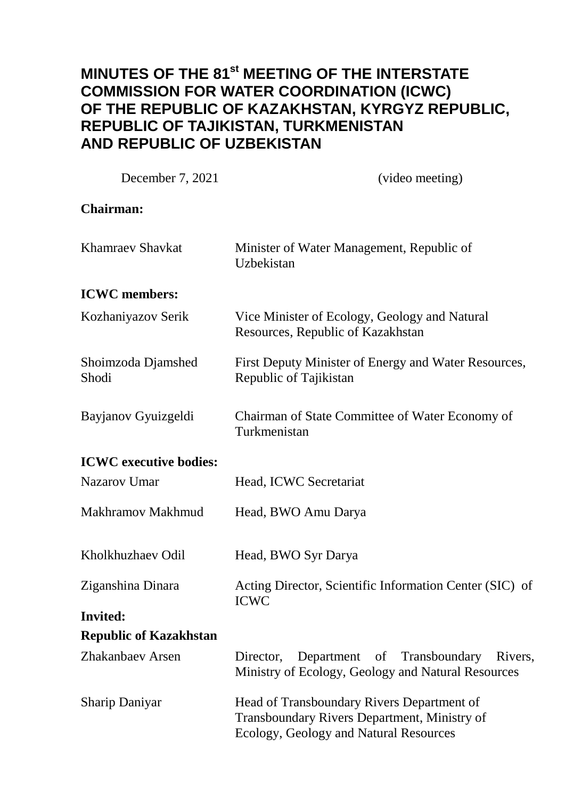# **MINUTES OF THE 81st MEETING OF THE INTERSTATE COMMISSION FOR WATER COORDINATION (ICWC) OF THE REPUBLIC OF KAZAKHSTAN, KYRGYZ REPUBLIC, REPUBLIC OF TAJIKISTAN, TURKMENISTAN AND REPUBLIC OF UZBEKISTAN**

December 7, 2021 (video meeting)

## **Chairman:**

| <b>Khamraev Shavkat</b>       | Minister of Water Management, Republic of<br>Uzbekistan                                                                              |  |
|-------------------------------|--------------------------------------------------------------------------------------------------------------------------------------|--|
| <b>ICWC</b> members:          |                                                                                                                                      |  |
| Kozhaniyazov Serik            | Vice Minister of Ecology, Geology and Natural<br>Resources, Republic of Kazakhstan                                                   |  |
| Shoimzoda Djamshed<br>Shodi   | First Deputy Minister of Energy and Water Resources,<br>Republic of Tajikistan                                                       |  |
| Bayjanov Gyuizgeldi           | Chairman of State Committee of Water Economy of<br>Turkmenistan                                                                      |  |
| <b>ICWC</b> executive bodies: |                                                                                                                                      |  |
| <b>Nazarov Umar</b>           | Head, ICWC Secretariat                                                                                                               |  |
| Makhramov Makhmud             | Head, BWO Amu Darya                                                                                                                  |  |
| Kholkhuzhaev Odil             | Head, BWO Syr Darya                                                                                                                  |  |
| Ziganshina Dinara             | Acting Director, Scientific Information Center (SIC) of<br><b>ICWC</b>                                                               |  |
| <b>Invited:</b>               |                                                                                                                                      |  |
| <b>Republic of Kazakhstan</b> |                                                                                                                                      |  |
| Zhakanbaev Arsen              | Director,<br>$\sigma f$<br>Transboundary<br>Rivers,<br>Department<br>Ministry of Ecology, Geology and Natural Resources              |  |
| <b>Sharip Daniyar</b>         | Head of Transboundary Rivers Department of<br>Transboundary Rivers Department, Ministry of<br>Ecology, Geology and Natural Resources |  |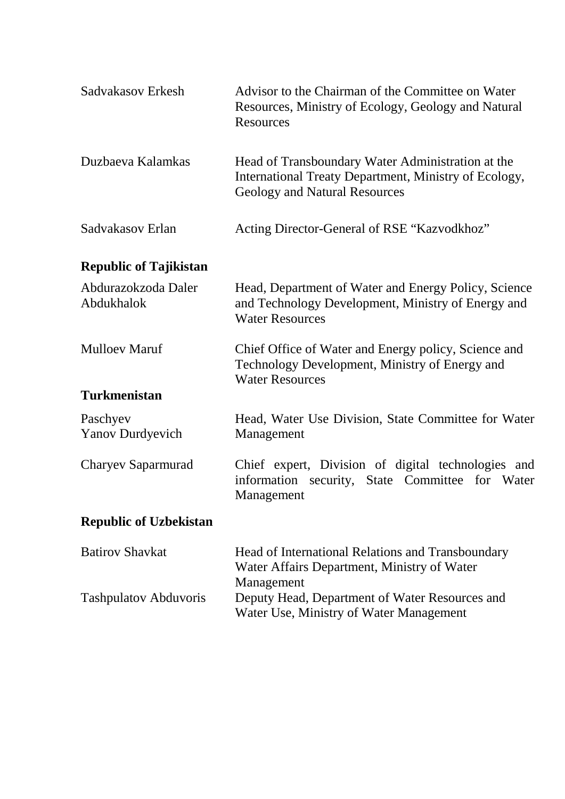| Sadvakasov Erkesh                   | Advisor to the Chairman of the Committee on Water<br>Resources, Ministry of Ecology, Geology and Natural<br>Resources                              |  |
|-------------------------------------|----------------------------------------------------------------------------------------------------------------------------------------------------|--|
| Duzbaeva Kalamkas                   | Head of Transboundary Water Administration at the<br>International Treaty Department, Ministry of Ecology,<br><b>Geology and Natural Resources</b> |  |
| Sadvakasov Erlan                    | Acting Director-General of RSE "Kazvodkhoz"                                                                                                        |  |
| <b>Republic of Tajikistan</b>       |                                                                                                                                                    |  |
| Abdurazokzoda Daler<br>Abdukhalok   | Head, Department of Water and Energy Policy, Science<br>and Technology Development, Ministry of Energy and<br><b>Water Resources</b>               |  |
| <b>Mulloev Maruf</b>                | Chief Office of Water and Energy policy, Science and<br>Technology Development, Ministry of Energy and<br><b>Water Resources</b>                   |  |
| <b>Turkmenistan</b>                 |                                                                                                                                                    |  |
| Paschyev<br><b>Yanov Durdyevich</b> | Head, Water Use Division, State Committee for Water<br>Management                                                                                  |  |
| <b>Charyev Saparmurad</b>           | Chief expert, Division of digital technologies and<br>information security, State Committee for Water<br>Management                                |  |
| <b>Republic of Uzbekistan</b>       |                                                                                                                                                    |  |
| <b>Batirov Shavkat</b>              | Head of International Relations and Transboundary<br>Water Affairs Department, Ministry of Water<br>Management                                     |  |
| <b>Tashpulatov Abduvoris</b>        | Deputy Head, Department of Water Resources and<br>Water Use, Ministry of Water Management                                                          |  |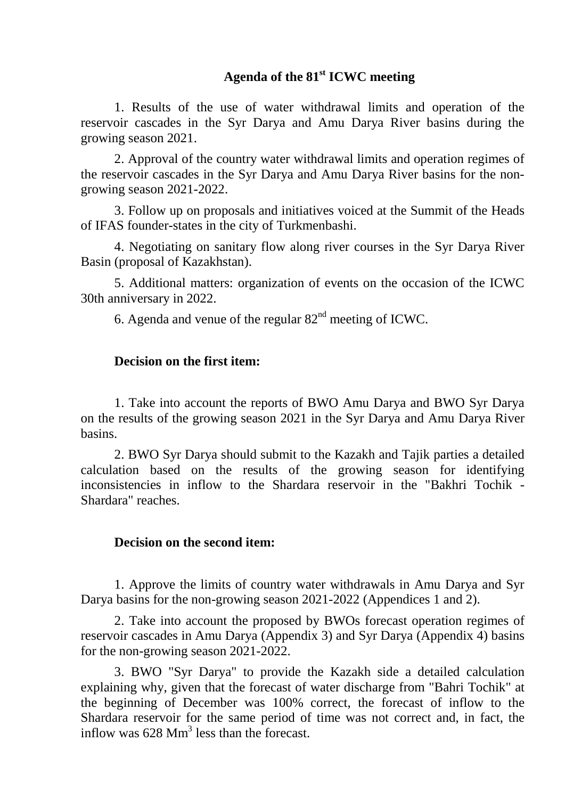# **Agenda of the 81st ICWC meeting**

1. Results of the use of water withdrawal limits and operation of the reservoir cascades in the Syr Darya and Amu Darya River basins during the growing season 2021.

2. Approval of the country water withdrawal limits and operation regimes of the reservoir cascades in the Syr Darya and Amu Darya River basins for the nongrowing season 2021-2022.

3. Follow up on proposals and initiatives voiced at the Summit of the Heads of IFAS founder-states in the city of Turkmenbashi.

4. Negotiating on sanitary flow along river courses in the Syr Darya River Basin (proposal of Kazakhstan).

5. Additional matters: organization of events on the occasion of the ICWC 30th anniversary in 2022.

6. Agenda and venue of the regular  $82<sup>nd</sup>$  meeting of ICWC.

## **Decision on the first item:**

1. Take into account the reports of BWO Amu Darya and BWO Syr Darya on the results of the growing season 2021 in the Syr Darya and Amu Darya River basins.

2. BWO Syr Darya should submit to the Kazakh and Tajik parties a detailed calculation based on the results of the growing season for identifying inconsistencies in inflow to the Shardara reservoir in the "Bakhri Tochik - Shardara" reaches.

#### **Decision on the second item:**

1. Approve the limits of country water withdrawals in Amu Darya and Syr Darya basins for the non-growing season 2021-2022 (Appendices 1 and 2).

2. Take into account the proposed by BWOs forecast operation regimes of reservoir cascades in Amu Darya (Appendix 3) and Syr Darya (Appendix 4) basins for the non-growing season 2021-2022.

3. BWO "Syr Darya" to provide the Kazakh side a detailed calculation explaining why, given that the forecast of water discharge from "Bahri Tochik" at the beginning of December was 100% correct, the forecast of inflow to the Shardara reservoir for the same period of time was not correct and, in fact, the inflow was  $628 \text{ Mm}^3$  less than the forecast.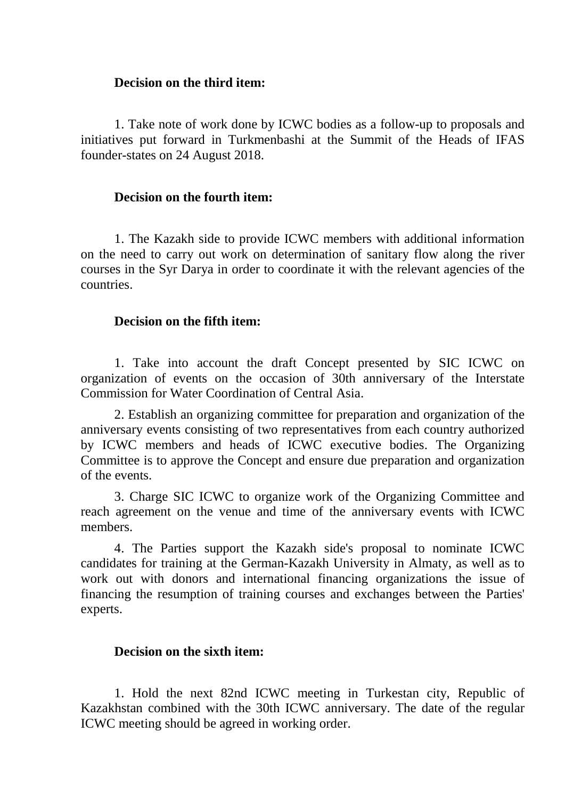#### **Decision on the third item:**

1. Take note of work done by ICWC bodies as a follow-up to proposals and initiatives put forward in Turkmenbashi at the Summit of the Heads of IFAS founder-states on 24 August 2018.

## **Decision on the fourth item:**

1. The Kazakh side to provide ICWC members with additional information on the need to carry out work on determination of sanitary flow along the river courses in the Syr Darya in order to coordinate it with the relevant agencies of the countries.

#### **Decision on the fifth item:**

1. Take into account the draft Concept presented by SIC ICWC on organization of events on the occasion of 30th anniversary of the Interstate Commission for Water Coordination of Central Asia.

2. Establish an organizing committee for preparation and organization of the anniversary events consisting of two representatives from each country authorized by ICWC members and heads of ICWC executive bodies. The Organizing Committee is to approve the Concept and ensure due preparation and organization of the events.

3. Charge SIC ICWC to organize work of the Organizing Committee and reach agreement on the venue and time of the anniversary events with ICWC members.

4. The Parties support the Kazakh side's proposal to nominate ICWC candidates for training at the German-Kazakh University in Almaty, as well as to work out with donors and international financing organizations the issue of financing the resumption of training courses and exchanges between the Parties' experts.

## **Decision on the sixth item:**

1. Hold the next 82nd ICWC meeting in Turkestan city, Republic of Kazakhstan combined with the 30th ICWC anniversary. The date of the regular ICWC meeting should be agreed in working order.